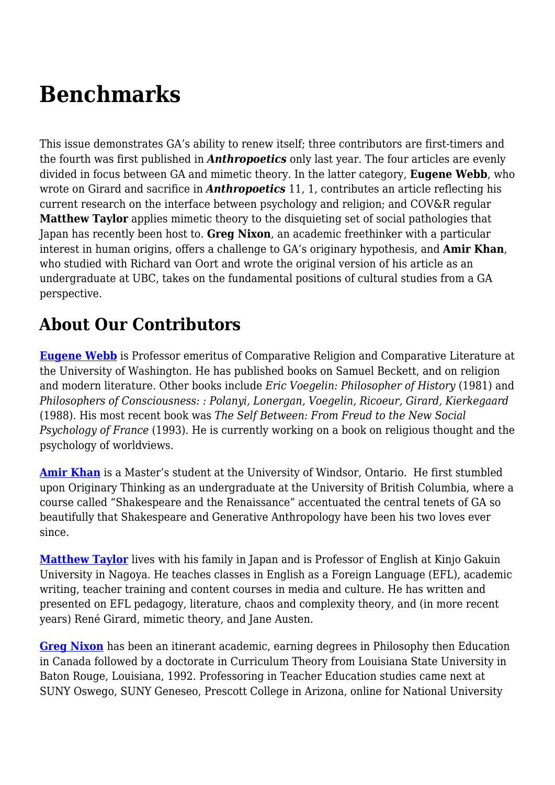## **Benchmarks**

This issue demonstrates GA's ability to renew itself; three contributors are first-timers and the fourth was first published in *Anthropoetics* only last year. The four articles are evenly divided in focus between GA and mimetic theory. In the latter category, **Eugene Webb**, who wrote on Girard and sacrifice in *Anthropoetics* 11, 1, contributes an article reflecting his current research on the interface between psychology and religion; and COV&R regular **Matthew Taylor** applies mimetic theory to the disquieting set of social pathologies that Japan has recently been host to. **Greg Nixon**, an academic freethinker with a particular interest in human origins, offers a challenge to GA's originary hypothesis, and **Amir Khan**, who studied with Richard van Oort and wrote the original version of his article as an undergraduate at UBC, takes on the fundamental positions of cultural studies from a GA perspective.

## **About Our Contributors**

**[Eugene Webb](mailto:ewebb@u.washington.edu)** is Professor emeritus of Comparative Religion and Comparative Literature at the University of Washington. He has published books on Samuel Beckett, and on religion and modern literature. Other books include *Eric Voegelin: Philosopher of History* (1981) and *Philosophers of Consciousness: : Polanyi, Lonergan, Voegelin, Ricoeur, Girard, Kierkegaard* (1988). His most recent book was *The Self Between: From Freud to the New Social Psychology of France* (1993). He is currently working on a book on religious thought and the psychology of worldviews.

**[Amir Khan](mailto:amirazizkhan@hotmail.com)** is a Master's student at the University of Windsor, Ontario. He first stumbled upon Originary Thinking as an undergraduate at the University of British Columbia, where a course called "Shakespeare and the Renaissance" accentuated the central tenets of GA so beautifully that Shakespeare and Generative Anthropology have been his two loves ever since.

**[Matthew Taylor](mailto:taylor@kinjo-u.ac.jp)** lives with his family in Japan and is Professor of English at Kinjo Gakuin University in Nagoya. He teaches classes in English as a Foreign Language (EFL), academic writing, teacher training and content courses in media and culture. He has written and presented on EFL pedagogy, literature, chaos and complexity theory, and (in more recent years) René Girard, mimetic theory, and Jane Austen.

**[Greg Nixon](mailto:docnixon@shaw.ca)** has been an itinerant academic, earning degrees in Philosophy then Education in Canada followed by a doctorate in Curriculum Theory from Louisiana State University in Baton Rouge, Louisiana, 1992. Professoring in Teacher Education studies came next at SUNY Oswego, SUNY Geneseo, Prescott College in Arizona, online for National University